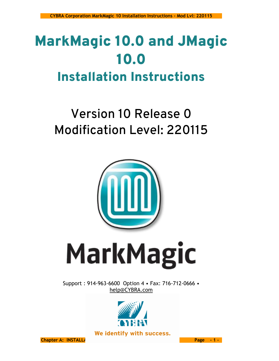# MarkMagic 10.0 and JMagic 10.0 Installation Instructions

## Version 10 Release 0 Modification Level: 220115



# **MarkMagic**

Support : 914-963-6600 Option 4 • Fax: 716-712-0666 • [help@CYBRA.com](mailto:help@CYBRA.com)



We identify with success.

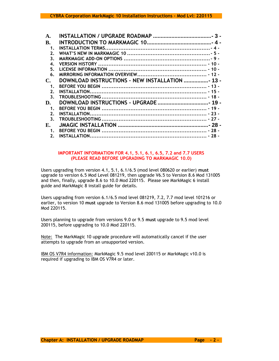| В.             |                                                |  |
|----------------|------------------------------------------------|--|
| 1.             |                                                |  |
| 2.             |                                                |  |
| 3.             |                                                |  |
| 4.             |                                                |  |
| 5.             |                                                |  |
| 6.             |                                                |  |
| $\mathbb{C}$   | DOWNLOAD INSTRUCTIONS - NEW INSTALLATION  13 - |  |
| 1.             |                                                |  |
| 2.             |                                                |  |
| 3 <sub>1</sub> |                                                |  |
| D.             | DOWNLOAD INSTRUCTIONS - UPGRADE  19 -          |  |
| 1.             |                                                |  |
| 2.             |                                                |  |
| 3.             |                                                |  |
| E.             |                                                |  |
| 1.             |                                                |  |
| 2.             |                                                |  |

#### **IMPORTANT INFORMATION FOR 4.1, 5.1, 6.1, 6.5, 7.2 and 7.7 USERS (PLEASE READ BEFORE UPGRADING TO MARKMAGIC 10.0)**

Users upgrading from version 4.1, 5.1, 6.1/6.5 (mod level 080620 or earlier) **must** upgrade to version 6.5 Mod Level 081219, then upgrade V6.5 to Version 8.6 Mod 131005 and then, finally, upgrade 8.6 to 10.0 Mod 220115. Please see MarkMagic 6 install guide and MarkMagic 8 install guide for details.

Users upgrading from version 6.1/6.5 mod level 081219, 7.2, 7.7 mod level 101216 or earlier, to version 10 **must** upgrade to Version 8.6 mod 131005 before upgrading to 10.0 Mod 220115.

Users planning to upgrade from versions 9.0 or 9.5 **must** upgrade to 9.5 mod level 200115, before upgrading to 10.0 Mod 220115.

Note: The MarkMagic 10 upgrade procedure will automatically cancel if the user attempts to upgrade from an unsupported version.

IBM OS V7R4 information: MarkMagic 9.5 mod level 200115 or MarkMagic v10.0 is required if upgrading to IBM OS V7R4 or later.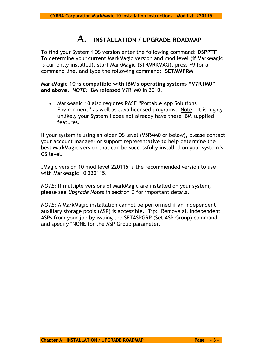## **A. INSTALLATION / UPGRADE ROADMAP**

<span id="page-2-0"></span>To find your System i OS version enter the following command: **DSPPTF** To determine your current MarkMagic version and mod level (if MarkMagic is currently installed), start MarkMagic (STRMRKMAG), press F9 for a command line, and type the following command: **SETMMPRM**

**MarkMagic 10 is compatible with IBM's operating systems "V7R1M0" and above.** *NOTE:* IBM released V7R1M0 in 2010.

• MarkMagic 10 also requires PASE "Portable App Solutions Environment" as well as Java licensed programs. Note: It is highly unlikely your System i does not already have these IBM supplied features.

If your system is using an older OS level (V5R4M0 or below), please contact your account manager or support representative to help determine the best MarkMagic version that can be successfully installed on your system's OS level.

JMagic version 10 mod level 220115 is the recommended version to use with MarkMagic 10 220115.

*NOTE*: If multiple versions of MarkMagic are installed on your system, please see *Upgrade Notes* in section D for important details.

*NOTE*: A MarkMagic installation cannot be performed if an independent auxiliary storage pools (ASP) is accessible. Tip: Remove all independent ASPs from your job by issuing the SETASPGRP (Set ASP Group) command and specify \*NONE for the ASP Group parameter.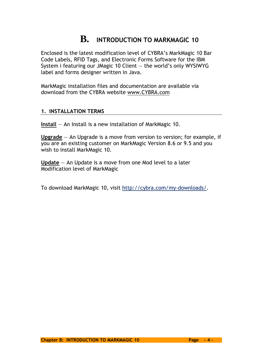## **B. INTRODUCTION TO MARKMAGIC 10**

<span id="page-3-0"></span>Enclosed is the latest modification level of CYBRA's MarkMagic 10 Bar Code Labels, RFID Tags, and Electronic Forms Software for the IBM System i featuring our JMagic 10 Client — the world's only WYSIWYG label and forms designer written in Java.

MarkMagic installation files and documentation are available via download from the CYBRA website [www.CYBRA.com](http://www.cybra.com/)

## <span id="page-3-1"></span>**1. INSTALLATION TERMS**

**Install** — An Install is a new installation of MarkMagic 10.

**Upgrade** — An Upgrade is a move from version to version; for example, if you are an existing customer on MarkMagic Version 8.6 or 9.5 and you wish to install MarkMagic 10.

**Update** — An Update is a move from one Mod level to a later Modification level of MarkMagic

To download MarkMagic 10, visit [http://cybra.com/my-downloads/.](http://cybra.com/my-downloads/)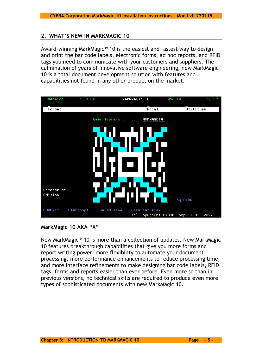## <span id="page-4-0"></span>**2. WHAT'S NEW IN MARKMAGIC 10**

Award-winning MarkMagic™ 10 is the easiest and fastest way to design and print the bar code labels, electronic forms, ad hoc reports, and RFID tags you need to communicate with your customers and suppliers. The culmination of years of innovative software engineering, new MarkMagic 10 is a total document development solution with features and capabilities not found in any other product on the market.



**MarkMagic 10 AKA "X"**

New MarkMagic™ 10 is more than a collection of updates. New MarkMagic 10 features breakthrough capabilities that give you more forms and report writing power, more flexibility to automate your document processing, more performance enhancements to reduce processing time, and more interface refinements to make designing bar code labels, RFID tags, forms and reports easier than ever before. Even more so than in previous versions, no technical skills are required to produce even more types of sophisticated documents with new MarkMagic 10.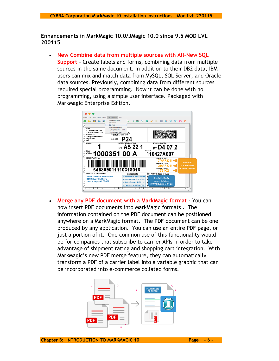**Enhancements in MarkMagic 10.0/JMagic 10.0 since 9.5 MOD LVL 200115**

• **New Combine data from multiple sources with All-New SQL Support** - Create labels and forms, combining data from multiple sources in the same document. In addition to their DB2 data, IBM i users can mix and match data from MySQL, SQL Server, and Oracle data sources. Previously, combining data from different sources required special programming. Now it can be done with no programming, using a simple user interface. Packaged with MarkMagic Enterprise Edition.



• **Merge any PDF document with a MarkMagic format** - You can now insert PDF documents into MarkMagic formats . The information contained on the PDF document can be positioned anywhere on a MarkMagic format. The PDF document can be one produced by any application. You can use an entire PDF page, or just a portion of it. One common use of this functionality would be for companies that subscribe to carrier APIs in order to take advantage of shipment rating and shopping cart integration. With MarkMagic's new PDF merge feature, they can automatically transform a PDF of a carrier label into a variable graphic that can be incorporated into e-commerce collated forms.

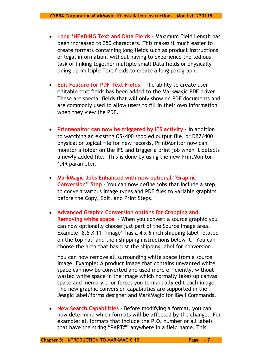- **Long \*HEADING Text and Data Fields** Maximum Field Length has been increased to 350 characters. This makes it much easier to create formats containing long fields such as product instructions or legal information, without having to experience the tedious task of linking together multiple small Data fields or physically lining up multiple Text fields to create a long paragraph.
- **Edit Feature for PDF Text Fields** The ability to create user editable text fields has been added to the MarkMagic PDF driver. These are special fields that will only show on PDF documents and are commonly used to allow users to fill in their own information when they view the PDF.
- **PrintMonitor can now be triggered by IFS activity** In addition to watching an existing OS/400 spooled output file, or DB2/400 physical or logical file for new records, PrintMonitor now can monitor a folder on the IFS and trigger a print job when it detects a newly added file. This is done by using the new PrintMonitor \*DIR parameter.
- **MarkMagic Jobs Enhanced with new optional "Graphic Conversion" Step** - You can now define jobs that include a step to convert various image types and PDF files to variable graphics before the Copy, Edit, and Print Steps.
- **Advanced Graphic Conversion options for Cropping and Removing white space** - When you convert a source graphic you can now optionally choose just part of the Source Image area. Example: 8.5 X 11 "image" has a 4 x 6 inch shipping label rotated on the top half and then shipping instructions below it. You can choose the area that has just the shipping label for conversion.

You can now remove all surrounding white space from a source image. Example: A product image that contains unwanted white space can now be converted and used more efficiently, without wasted white space in the image which normally takes up canvas space and memory…. or forces you to manually edit each image. The new graphic conversion capabilities are supported in the JMagic label/forms designer and MarkMagic for IBM i Commands.

• **New Search Capabilities** - Before modifying a format, you can now determine which formats will be affected by the change. For example: all formats that include the P.O. number or all labels that have the string "PART#" anywhere in a field name. This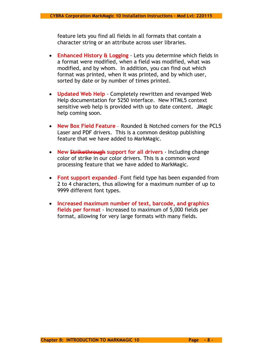feature lets you find all fields in all formats that contain a character string or an attribute across user libraries.

- **Enhanced History & Logging**  Lets you determine which fields in a format were modified, when a field was modified, what was modified, and by whom. In addition, you can find out which format was printed, when it was printed, and by which user, sorted by date or by number of times printed.
- **Updated Web Help**  Completely rewritten and revamped Web Help documentation for 5250 interface. New HTML5 context sensitive web help is provided with up to date content. JMagic help coming soon.
- **New Box Field Feature** Rounded & Notched corners for the PCL5 Laser and PDF drivers. This is a common desktop publishing feature that we have added to MarkMagic.
- **New Strikethrough support for all drivers**  Including change color of strike in our color drivers. This is a common word processing feature that we have added to MarkMagic.
- **Font support expanded** Font field type has been expanded from 2 to 4 characters, thus allowing for a maximum number of up to 9999 different font types.
- **Increased maximum number of text, barcode, and graphics fields per format** - Increased to maximum of 5,000 fields per format, allowing for very large formats with many fields.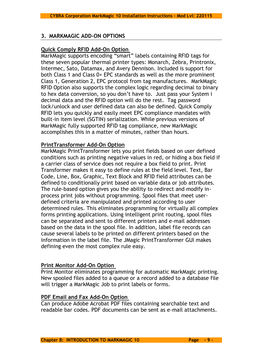## <span id="page-8-0"></span>**3. MARKMAGIC ADD-ON OPTIONS**

## **Quick Comply RFID Add-On Option**

MarkMagic supports encoding "smart" labels containing RFID tags for these seven popular thermal printer types: Monarch, Zebra, Printronix, Intermec, Sato, Datamax, and Avery Dennison. Included is support for both Class 1 and Class 0+ EPC standards as well as the more prominent Class 1, Generation 2, EPC protocol from tag manufactures. MarkMagic RFID Option also supports the complex logic regarding decimal to binary to hex data conversion, so you don't have to. Just pass your System i decimal data and the RFID option will do the rest. Tag password lock/unlock and user defined data can also be defined. Quick Comply RFID lets you quickly and easily meet EPC compliance mandates with built-in item level (SGTIN) serialization. While previous versions of MarkMagic fully supported RFID tag compliance, new MarkMagic accomplishes this in a matter of minutes, rather than hours.

## **PrintTransformer Add-On Option**

MarkMagic PrintTransformer lets you print fields based on user defined conditions such as printing negative values in red, or hiding a box field if a carrier class of service does not require a box field to print. Print Transformer makes it easy to define rules at the field level. Text, Bar Code, Line, Box, Graphic, Text Block and RFID field attributes can be defined to conditionally print based on variable data or job attributes. The rule-based option gives you the ability to redirect and modify inprocess print jobs without programming. Spool files that meet userdefined criteria are manipulated and printed according to user determined rules. This eliminates programming for virtually all complex forms printing applications. Using intelligent print routing, spool files can be separated and sent to different printers and e-mail addresses based on the data in the spool file. In addition, label file records can cause several labels to be printed on different printers based on the information in the label file. The JMagic PrintTransformer GUI makes defining even the most complex rule easy.

### **Print Monitor Add-On Option**

Print Monitor eliminates programming for automatic MarkMagic printing. New spooled files added to a queue or a record added to a database file will trigger a MarkMagic Job to print labels or forms.

## **PDF Email and Fax Add-On Option**

Can produce Adobe Acrobat PDF files containing searchable text and readable bar codes. PDF documents can be sent as e-mail attachments.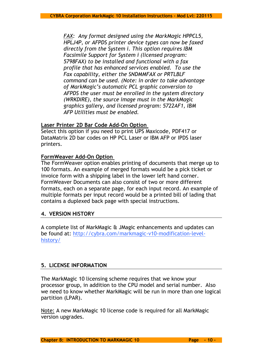*FAX: Any format designed using the MarkMagic HPPCL5, HPLJ4P, or AFPDS printer device types can now be faxed directly from the System i. This option requires IBM Facsimile Support for System i (licensed program: 5798FAX) to be installed and functional with a fax profile that has enhanced services enabled. To use the Fax capability, either the SNDMMFAX or PRTLBLF command can be used. (Note: in order to take advantage of MarkMagic's automatic PCL graphic conversion to AFPDS the user must be enrolled in the system directory (WRKDIRE), the source image must in the MarkMagic graphics gallery, and licensed program: 5722AF1, IBM AFP Utilities must be enabled.* 

## **Laser Printer 2D Bar Code Add-On Option**

Select this option if you need to print UPS Maxicode, PDF417 or DataMatrix 2D bar codes on HP PCL Laser or IBM AFP or IPDS laser printers.

## **FormWeaver Add-On Option**

The FormWeaver option enables printing of documents that merge up to 100 formats. An example of merged formats would be a pick ticket or invoice form with a shipping label in the lower left hand corner. FormWeaver Documents can also consist of two or more different formats, each on a separate page, for each input record. An example of multiple formats per input record would be a printed bill of lading that contains a duplexed back page with special instructions.

## <span id="page-9-0"></span>**4. VERSION HISTORY**

A complete list of MarkMagic & JMagic enhancements and updates can be found at: http://cybra.com/markmagic-v10-modification-levelhistory/

## <span id="page-9-1"></span>**5. LICENSE INFORMATION**

The MarkMagic 10 licensing scheme requires that we know your processor group, in addition to the CPU model and serial number. Also we need to know whether MarkMagic will be run in more than one logical partition (LPAR).

Note: A new MarkMagic 10 license code is required for all MarkMagic version upgrades.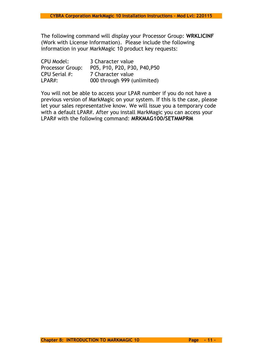The following command will display your Processor Group: **WRKLICINF** (Work with License Information). Please include the following information in your MarkMagic 10 product key requests:

| <b>CPU Model:</b>       | 3 Character value            |
|-------------------------|------------------------------|
| <b>Processor Group:</b> | P05, P10, P20, P30, P40, P50 |
| CPU Serial #:           | 7 Character value            |
| $LPAR#$ :               | 000 through 999 (unlimited)  |

You will not be able to access your LPAR number if you do not have a previous version of MarkMagic on your system. If this is the case, please let your sales representative know. We will issue you a temporary code with a default LPAR#. After you install MarkMagic you can access your LPAR# with the following command: **MRKMAG100/SETMMPRM**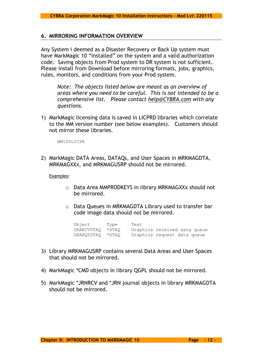#### <span id="page-11-0"></span>**6. MIRRORING INFORMATION OVERVIEW**

Any System i deemed as a Disaster Recovery or Back Up system must have MarkMagic 10 "installed" on the system and a valid authorization code. Saving objects from Prod system to DR system is not sufficient. Please install from Download before mirroring formats, jobs, graphics, rules, monitors, and conditions from your Prod system.

*Note: The objects listed below are meant as an overview of areas where you need to be careful. This is not intended to be a comprehensive list. Please contact [help@CYBRA.com](mailto:help@CYBRA.com) with any questions.*

1) MarkMagic licensing data is saved in LICPRD libraries which correlate to the MM version number (see below examples). Customers should not mirror these libraries.

MM100LICPR

2) MarkMagic DATA Areas, DATAQs, and User Spaces in MRKMAGDTA, MRKMAGXXx, and MRKMAGUSRP should not be mirrored.

Examples:

- o Data Area MMPRODKEYS in library MRKMAGXXx should not be mirrored.
- o Data Queues in MRKMAGDTA Library used to transfer bar code image data should not be mirrored.

| Object     | Type   | Text                         |  |  |
|------------|--------|------------------------------|--|--|
| GRARCVDTAO | * DTAO | Graphics received data queue |  |  |
| GRAROSDTAO | * DTAO | Graphics request data queue  |  |  |

- 3) Library MRKMAGUSRP contains several Data Areas and User Spaces that should not be mirrored.
- 4) MarkMagic \*CMD objects in library QGPL should not be mirrored.
- 5) MarkMagic \*JRNRCV and \*JRN journal objects in library MRKMAGDTA should not be mirrored.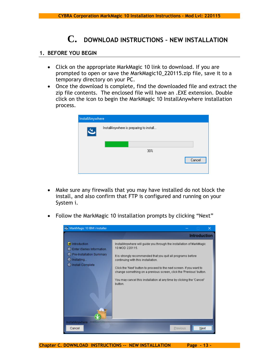## **C. DOWNLOAD INSTRUCTIONS – NEW INSTALLATION**

## <span id="page-12-1"></span><span id="page-12-0"></span>**1. BEFORE YOU BEGIN**

- Click on the appropriate MarkMagic 10 link to download. If you are prompted to open or save the MarkMagic10\_220115.zip file, save it to a temporary directory on your PC.
- Once the download is complete, find the downloaded file and extract the zip file contents. The enclosed file will have an .EXE extension. Double click on the icon to begin the MarkMagic 10 InstallAnywhere installation process.

| InstallAnywhere |                                         |        |
|-----------------|-----------------------------------------|--------|
| य,              | InstallAnywhere is preparing to install |        |
|                 |                                         |        |
|                 | 30%                                     |        |
|                 |                                         | Cancel |
|                 |                                         |        |

- Make sure any firewalls that you may have installed do not block the install, and also confirm that FTP is configured and running on your System i.
- Follow the MarkMagic 10 installation prompts by clicking "Next"



**Chapter C. DOWNLOAD INSTRUCTIONS -- NEW INSTALLATION Page - 13 -**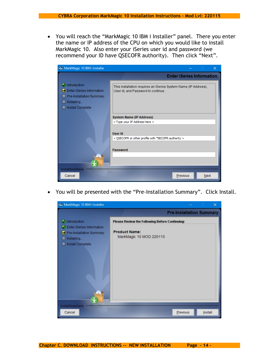• You will reach the "MarkMagic 10 IBM i Installer" panel. There you enter the name or IP address of the CPU on which you would like to install MarkMagic 10. Also enter your iSeries user id and password (we recommend your ID have QSECOFR authority). Then click "Next".



• You will be presented with the "Pre-Installation Summary". Click Install.

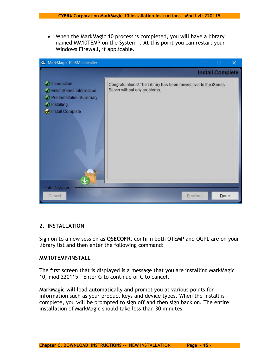• When the MarkMagic 10 process is completed, you will have a library named MM10TEMP on the System i. At this point you can restart your Windows Firewall, if applicable.



## <span id="page-14-0"></span>**2. INSTALLATION**

Sign on to a new session as **QSECOFR,** confirm both QTEMP and QGPL are on your library list and then enter the following command:

### **MM10TEMP/INSTALL**

The first screen that is displayed is a message that you are installing MarkMagic 10, mod 220115. Enter G to continue or C to cancel.

MarkMagic will load automatically and prompt you at various points for information such as your product keys and device types. When the install is complete, you will be prompted to sign off and then sign back on. The entire installation of MarkMagic should take less than 30 minutes.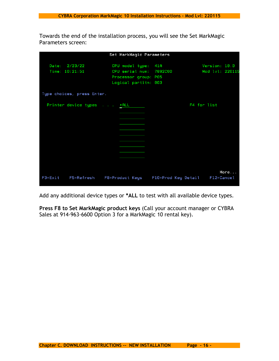Towards the end of the installation process, you will see the Set MarkMagic Parameters screen:

|             |                                 | Set MarkMagic Parameters                                                                       |                     |                                  |
|-------------|---------------------------------|------------------------------------------------------------------------------------------------|---------------------|----------------------------------|
|             | Date: 2/23/22<br>Time: 10:21:51 | CPU model type: 41A<br>CPU serial num: 7892C60<br>Processor group: P05<br>Logical partitn: 003 |                     | Version: 10.0<br>Mod lvl: 220115 |
|             | Type choices, press Enter.      |                                                                                                |                     |                                  |
|             | Printer device types *ALL       |                                                                                                |                     | F4 for list                      |
|             |                                 |                                                                                                |                     |                                  |
|             |                                 |                                                                                                |                     |                                  |
|             |                                 |                                                                                                |                     |                                  |
|             |                                 |                                                                                                |                     |                                  |
|             |                                 |                                                                                                |                     |                                  |
| $F3 = Exit$ | F5=Refresh                      | F8=Product Keys                                                                                | F10=Prod Key Detail | More<br>F12=Cancel               |

Add any additional device types or **\*ALL** to test with all available device types.

**Press F8 to Set MarkMagic product keys** (Call your account manager or CYBRA Sales at 914-963-6600 Option 3 for a MarkMagic 10 rental key).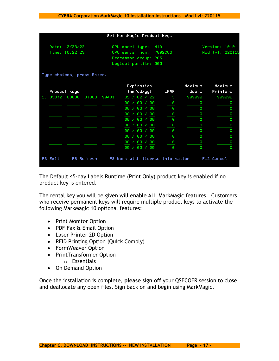|                                                                                                                                                                |              |       |                            |       |    |  |                 |    | Set MarkMagic Product keys       |         |            |
|----------------------------------------------------------------------------------------------------------------------------------------------------------------|--------------|-------|----------------------------|-------|----|--|-----------------|----|----------------------------------|---------|------------|
| 2/23/22<br>Version: 10.0<br>Date:<br>CPU model type:<br>41A<br>10:22:23<br>CPU serial num:<br>7892060<br>Time:<br>Processor group: P05<br>Logical partitn: 003 |              |       |                            |       |    |  | Mod lvl: 220115 |    |                                  |         |            |
|                                                                                                                                                                |              |       | Type choices, press Enter. |       |    |  |                 |    |                                  |         |            |
|                                                                                                                                                                |              |       |                            |       |    |  | Expiration      |    |                                  | Maximum | Maximum    |
|                                                                                                                                                                | Product keys |       |                            |       |    |  | (mm/dd/gy)      |    | LPAR                             | Users   | Printers   |
| 1.                                                                                                                                                             | 33872        | 08888 | 07BC0                      | 99401 | 05 |  | 02              | 22 | з                                | 999999  | 999999     |
|                                                                                                                                                                |              |       |                            |       | 00 |  | 00              | 00 | Θ                                | Θ       | Θ          |
|                                                                                                                                                                |              |       |                            |       | 00 |  | 00              | 00 | Θ                                | Θ       | Θ          |
|                                                                                                                                                                |              |       |                            |       | 00 |  | 00              | 00 | Θ                                | Θ       | Θ          |
|                                                                                                                                                                |              |       |                            |       | 00 |  | 00              | 00 | 0                                | Θ       | Θ          |
|                                                                                                                                                                |              |       |                            |       | 00 |  | 00              | 00 | Θ                                | Θ       | Θ          |
|                                                                                                                                                                |              |       |                            |       | 00 |  | 00              | 00 | 0                                | Θ       | Θ          |
|                                                                                                                                                                |              |       |                            |       | 00 |  | 00              | 00 | Θ                                | Θ       | Θ          |
|                                                                                                                                                                |              |       |                            |       | 00 |  | 00              | 00 | Θ                                | Θ       | Θ          |
|                                                                                                                                                                |              |       |                            |       | 00 |  | 00              | 00 | 0                                | Θ       | Θ          |
|                                                                                                                                                                | $F3 = Exit$  |       | F5=Refresh                 |       |    |  |                 |    | F8=Work with license information |         | F12=Cancel |

The Default 45-day Labels Runtime (Print Only) product key is enabled if no product key is entered.

The rental key you will be given will enable ALL MarkMagic features. Customers who receive permanent keys will require multiple product keys to activate the following MarkMagic 10 optional features:

- Print Monitor Option
- PDF Fax & Email Option
- Laser Printer 2D Option
- RFID Printing Option (Quick Comply)
- FormWeaver Option
- PrintTransformer Option
	- o Essentials
- On Demand Option

Once the installation is complete**, please sign off** your QSECOFR session to close and deallocate any open files. Sign back on and begin using MarkMagic.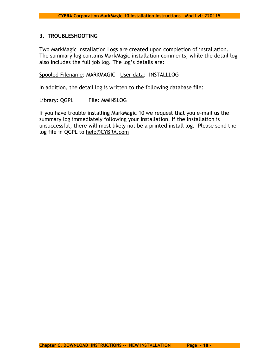## <span id="page-17-0"></span>**3. TROUBLESHOOTING**

Two MarkMagic Installation Logs are created upon completion of installation. The summary log contains MarkMagic installation comments, while the detail log also includes the full job log. The log's details are:

## Spooled Filename: MARKMAGIC User data: INSTALLLOG

In addition, the detail log is written to the following database file:

Library: QGPL File: MMINSLOG

If you have trouble installing MarkMagic 10 we request that you e-mail us the summary log immediately following your installation. If the installation is unsuccessful, there will most likely not be a printed install log. Please send the log file in QGPL to [help@CYBRA.com](mailto:help@CYBRA.com)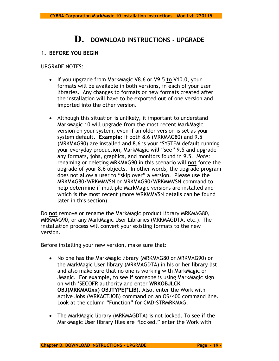## **D. DOWNLOAD INSTRUCTIONS - UPGRADE**

## <span id="page-18-1"></span><span id="page-18-0"></span>**1. BEFORE YOU BEGIN**

UPGRADE NOTES:

- If you upgrade from MarkMagic V8.6 or V9.5 **to** V10.0, your formats will be available in both versions, in each of your user libraries. Any changes to formats or new formats created after the installation will have to be exported out of one version and imported into the other version.
- Although this situation is unlikely, it important to understand MarkMagic 10 will upgrade from the most recent MarkMagic version on your system, even if an older version is set as your system default. **Example**: If both 8.6 (MRKMAG80) and 9.5 (MRKMAG90) are installed and 8.6 is your \*SYSTEM default running your everyday production, MarkMagic will "see" 9.5 and upgrade any formats, jobs, graphics, and monitors found in 9.5. *Note:* renaming or deleting MRKMAG90 in this scenario will **not** force the upgrade of your 8.6 objects. In other words, the upgrade program does not allow a user to "skip over" a version. Please use the MRKMAG80/WRKMMVSN or MRKMAG90/WRKMMVSN command to help determine if multiple MarkMagic versions are installed and which is the most recent (more WRKMMVSN details can be found later in this section).

Do **not** remove or rename the MarkMagic product library MRKMAG80, MRKMAG90, or any MarkMagic User Libraries (MRKMAGDTA, etc.). The installation process will convert your existing formats to the new version.

Before installing your new version, make sure that:

- No one has the MarkMagic library (MRKMAG80 or MRKMAG90) or the MarkMagic User library (MRKMAGDTA) in his or her library list, and also make sure that no one is working with MarkMagic or JMagic. For example, to see if someone is using MarkMagic sign on with \*SECOFR authority and enter **WRKOBJLCK OBJ(MRKMAG***xx***) OBJTYPE(\*LIB)**. Also, enter the Work with Active Jobs (WRKACTJOB) command on an OS/400 command line. Look at the column "Function" for CMD-STRMRKMAG.
- The MarkMagic library (MRKMAGDTA) is not locked. To see if the MarkMagic User library files are "locked," enter the Work with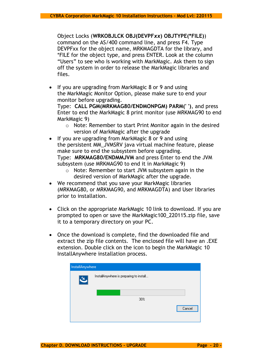Object Locks (**WRKOBJLCK OBJ(DEVPF***xx***) OBJTYPE(\*FILE)**) command on the AS/400 command line, and press F4. Type DEVPFxx for the object name, MRKMAGDTA for the library, and \*FILE for the object type, and press ENTER. Look at the column "Users" to see who is working with MarkMagic. Ask them to sign off the system in order to release the MarkMagic libraries and files.

• If you are upgrading from MarkMagic 8 or 9 and using the MarkMagic Monitor Option, please make sure to end your monitor before upgrading.

Type: **CALL PGM(MRKMAG80/ENDMONPGM) PARM(' ')**, and press Enter to end the MarkMagic 8 print monitor (use MRKMAG90 to end MarkMagic 9)

- o Note: Remember to start Print Monitor again in the desired version of MarkMagic after the upgrade
- If you are upgrading from MarkMagic 8 or 9 and using the persistent MM\_JVMSRV java virtual machine feature, please make sure to end the subsystem before upgrading. Type: **MRKMAG80/ENDMMJVM** and press Enter to end the JVM subsystem (use MRKMAG90 to end it in MarkMagic 9)
	- o Note: Remember to start JVM subsystem again in the desired version of MarkMagic after the upgrade.
- We recommend that you save your MarkMagic libraries (MRKMAG80, or MRKMAG90, and MRKMAGDTA) and User libraries prior to installation.
- Click on the appropriate MarkMagic 10 link to download. If you are prompted to open or save the MarkMagic100\_220115.zip file, save it to a temporary directory on your PC.
- Once the download is complete, find the downloaded file and extract the zip file contents. The enclosed file will have an .EXE extension. Double click on the icon to begin the MarkMagic 10 InstallAnywhere installation process.

| InstallAnywhere |                                         |        |
|-----------------|-----------------------------------------|--------|
| <b>D</b>        | InstallAnywhere is preparing to install |        |
|                 |                                         |        |
|                 | 30%                                     |        |
|                 |                                         | Cancel |
|                 |                                         |        |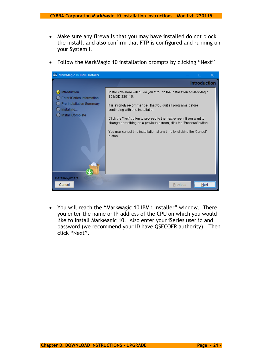- Make sure any firewalls that you may have installed do not block the install, and also confirm that FTP is configured and running on your System i.
- Follow the MarkMagic 10 installation prompts by clicking "Next"



• You will reach the "MarkMagic 10 IBM i Installer" window. There you enter the name or IP address of the CPU on which you would like to install MarkMagic 10. Also enter your iSeries user id and password (we recommend your ID have QSECOFR authority). Then click "Next".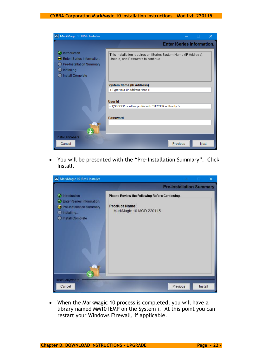

• You will be presented with the "Pre-Installation Summary". Click Install.



• When the MarkMagic 10 process is completed, you will have a library named MM10TEMP on the System i. At this point you can restart your Windows Firewall, if applicable.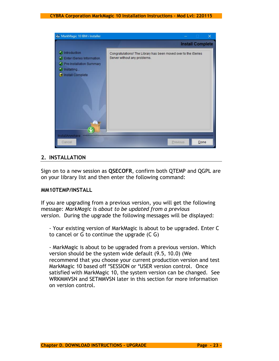

## <span id="page-22-0"></span>**2. INSTALLATION**

Sign on to a new session as **QSECOFR**, confirm both QTEMP and QGPL are on your library list and then enter the following command:

#### **MM10TEMP/INSTALL**

If you are upgrading from a previous version, you will get the following message: *MarkMagic is about to be updated from a previous version*. During the upgrade the following messages will be displayed:

- Your existing version of MarkMagic is about to be upgraded. Enter C to cancel or G to continue the upgrade (C G)

- MarkMagic is about to be upgraded from a previous version. Which version should be the system wide default (9.5, 10.0) (We recommend that you choose your current production version and test MarkMagic 10 based off \*SESSION or \*USER version control. Once satisfied with MarkMagic 10, the system version can be changed. See WRKMMVSN and SETMMVSN later in this section for more information on version control.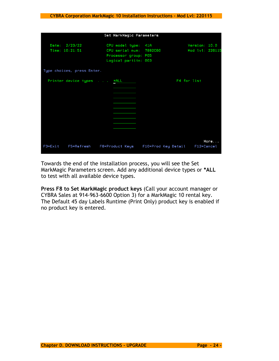|         | Set MarkMagic Parameters        |                                                                                                |                     |             |                                  |  |  |  |  |
|---------|---------------------------------|------------------------------------------------------------------------------------------------|---------------------|-------------|----------------------------------|--|--|--|--|
|         | Date: 2/23/22<br>Time: 10:21:51 | CPU model type: 41A<br>CPU serial num: 7892C60<br>Processor group: P05<br>Logical partitn: 003 |                     |             | Version: 10.0<br>Mod lvl: 220115 |  |  |  |  |
|         | Type choices, press Enter.      |                                                                                                |                     |             |                                  |  |  |  |  |
|         | Printer device types *ALL       |                                                                                                |                     | F4 for list |                                  |  |  |  |  |
| F3=Exit | F5=Refresh                      | F8=Product Keys                                                                                | F10=Prod Key Detail |             | More<br>F12=Cancel               |  |  |  |  |

Towards the end of the installation process, you will see the Set MarkMagic Parameters screen. Add any additional device types or **\*ALL** to test with all available device types.

**Press F8 to Set MarkMagic product keys** (Call your account manager or CYBRA Sales at 914-963-6600 Option 3) for a MarkMagic 10 rental key. The Default 45 day Labels Runtime (Print Only) product key is enabled if no product key is entered.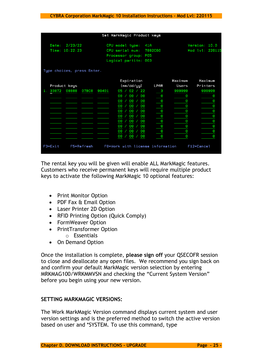|                                    |       | Set MarkMagic Product keys       |    |      |         |            |
|------------------------------------|-------|----------------------------------|----|------|---------|------------|
| 2/23/22<br>Date:<br>Time: 10:22:23 |       | Version: 10.0<br>Mod lvl: 220115 |    |      |         |            |
| Type choices, press Enter.         |       |                                  |    |      |         |            |
|                                    |       | Expiration                       |    |      | Maximum | Maximum    |
| Product keys                       |       | (mm/dd/gy)                       |    | LPAR | Users   | Printers   |
| 33872<br>08888<br>07BC0<br>1.      | 99401 | 02<br>05                         | 22 | з    | 999999  | 999999     |
|                                    |       | 00<br>00                         | 00 | Θ    | Ð       | Θ          |
|                                    |       | 00<br>00                         | 00 | 0    | Θ       | Θ          |
|                                    |       | 00<br>00                         | 00 | 0    | Θ       | 0          |
|                                    |       | 00<br>00                         | 00 | 0    | Θ       | 0          |
|                                    |       | 00<br>00                         | 00 | 0    | Θ       | Θ          |
|                                    |       | 00<br>00                         | 00 | 0    | Θ       | Θ          |
|                                    |       | 00<br>00                         | 00 | 0    | Θ       | Θ          |
|                                    |       | 00<br>00                         | 00 | 0    | Θ       | Θ          |
|                                    |       | 00<br>00                         | 00 | Θ    | Θ       | Θ          |
| F5=Refresh<br>F3=Exit              |       | F8=Work with license information |    |      |         | F12=Cancel |

The rental key you will be given will enable ALL MarkMagic features. Customers who receive permanent keys will require multiple product keys to activate the following MarkMagic 10 optional features:

- Print Monitor Option
- PDF Fax & Email Option
- Laser Printer 2D Option
- RFID Printing Option (Quick Comply)
- FormWeaver Option
- PrintTransformer Option
	- o Essentials
- On Demand Option

Once the installation is complete, **please sign off** your QSECOFR session to close and deallocate any open files. We recommend you sign back on and confirm your default MarkMagic version selection by entering MRKMAG100/WRKMMVSN and checking the "Current System Version" before you begin using your new version.

## **SETTING MARKMAGIC VERSIONS:**

The Work MarkMagic Version command displays current system and user version settings and is the preferred method to switch the active version based on user and \*SYSTEM. To use this command, type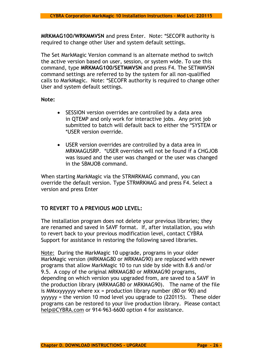**MRKMAG100/WRKMMVSN** and press Enter. Note: \*SECOFR authority is required to change other User and system default settings.

The Set MarkMagic Version command is an alternate method to switch the active version based on user, session, or system wide. To use this command, type **MRKMAG100/SETMMVSN** and press F4. The SETMMVSN command settings are referred to by the system for all non-qualified calls to MarkMagic. Note: \*SECOFR authority is required to change other User and system default settings.

## **Note:**

- SESSION version overrides are controlled by a data area in QTEMP and only work for interactive jobs. Any print job submitted to batch will default back to either the \*SYSTEM or \*USER version override.
- USER version overrides are controlled by a data area in MRKMAGUSRP. \*USER overrides will not be found if a CHGJOB was issued and the user was changed or the user was changed in the SBMJOB command.

When starting MarkMagic via the STRMRKMAG command, you can override the default version. Type STRMRKMAG and press F4. Select a version and press Enter

## **TO REVERT TO A PREVIOUS MOD LEVEL:**

The installation program does not delete your previous libraries; they are renamed and saved in SAVF format. If, after installation, you wish to revert back to your previous modification level, contact CYBRA Support for assistance in restoring the following saved libraries.

Note: During the MarkMagic 10 upgrade, programs in your older MarkMagic version (MRKMAG80 or MRKMAG90) are replaced with newer programs that allow MarkMagic 10 to run side by side with 8.6 and/or 9.5. A copy of the original MRKMAG80 or MRKMAG90 programs, depending on which version you upgraded from, are saved to a SAVF in the production library (MRKMAG80 or MRKMAG90). The name of the file is MMxxyyyyyy where  $xx =$  production library number (80 or 90) and yyyyyy = the version 10 mod level you upgrade to (220115). These older programs can be restored to your live production library. Please contact [help@CYBRA.com](mailto:help@CYBRA.com) or 914-963-6600 option 4 for assistance.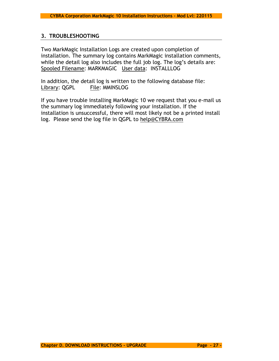## <span id="page-26-0"></span>**3. TROUBLESHOOTING**

Two MarkMagic Installation Logs are created upon completion of installation. The summary log contains MarkMagic installation comments, while the detail log also includes the full job log. The log's details are: Spooled Filename: MARKMAGIC User data: INSTALLLOG

In addition, the detail log is written to the following database file: Library: QGPL File: MMINSLOG

If you have trouble installing MarkMagic 10 we request that you e-mail us the summary log immediately following your installation. If the installation is unsuccessful, there will most likely not be a printed install log. Please send the log file in QGPL to [help@CYBRA.com](mailto:help@CYBRA.com)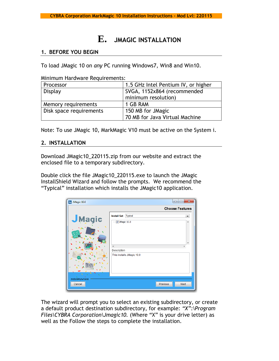## **E. JMAGIC INSTALLATION**

## <span id="page-27-1"></span><span id="page-27-0"></span>**1. BEFORE YOU BEGIN**

To load JMagic 10 on *any* PC running Windows7, Win8 and Win10.

Minimum Hardware Requirements:

| Processor               | 1.5 GHz Intel Pentium IV, or higher |  |  |
|-------------------------|-------------------------------------|--|--|
| Display                 | SVGA, 1152x864 (recommended         |  |  |
|                         | minimum resolution)                 |  |  |
| Memory requirements     | 1 GB RAM                            |  |  |
| Disk space requirements | 150 MB for JMagic                   |  |  |
|                         | 70 MB for Java Virtual Machine      |  |  |

Note: To use JMagic 10, MarkMagic V10 must be active on the System i.

## <span id="page-27-2"></span>**2. INSTALLATION**

Download JMagic10\_220115.zip from our website and extract the enclosed file to a temporary subdirectory.

Double click the file JMagic10\_220115.exe to launch the JMagic InstallShield Wizard and follow the prompts. We recommend the "Typical" installation which installs the JMagic10 application.

| UMagic 10.0               |                               | $\overline{\mathbf{x}}$<br>$=$<br>$\Box$ |
|---------------------------|-------------------------------|------------------------------------------|
|                           |                               | <b>Choose Features</b>                   |
|                           | <b>Install Set</b><br>Typical | ▼                                        |
| JMagic                    | JMagic 10.0<br>               | ▲                                        |
|                           |                               | ۰                                        |
|                           | Description                   |                                          |
|                           | This installs JMagic 10.0     |                                          |
|                           |                               |                                          |
| InstallAnywhere<br>Cancel | Previous                      | <b>Next</b>                              |

The wizard will prompt you to select an existing subdirectory, or create a default product destination subdirectory, for example: *"X":\Program Files\CYBRA Corporation\Jmagic10.* (Where "X" is your drive letter) as well as the Follow the steps to complete the installation.